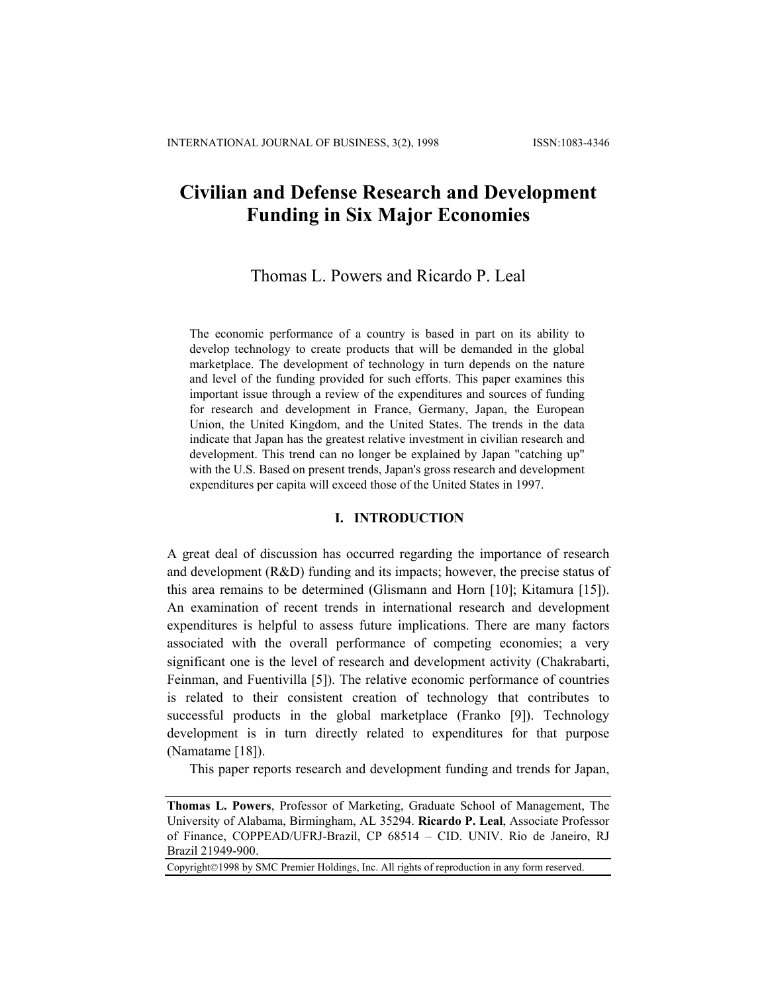# **Civilian and Defense Research and Development Funding in Six Major Economies**

# Thomas L. Powers and Ricardo P. Leal

The economic performance of a country is based in part on its ability to develop technology to create products that will be demanded in the global marketplace. The development of technology in turn depends on the nature and level of the funding provided for such efforts. This paper examines this important issue through a review of the expenditures and sources of funding for research and development in France, Germany, Japan, the European Union, the United Kingdom, and the United States. The trends in the data indicate that Japan has the greatest relative investment in civilian research and development. This trend can no longer be explained by Japan "catching up" with the U.S. Based on present trends, Japan's gross research and development expenditures per capita will exceed those of the United States in 1997.

# **I. INTRODUCTION**

A great deal of discussion has occurred regarding the importance of research and development (R&D) funding and its impacts; however, the precise status of this area remains to be determined (Glismann and Horn [10]; Kitamura [15]). An examination of recent trends in international research and development expenditures is helpful to assess future implications. There are many factors associated with the overall performance of competing economies; a very significant one is the level of research and development activity (Chakrabarti, Feinman, and Fuentivilla [5]). The relative economic performance of countries is related to their consistent creation of technology that contributes to successful products in the global marketplace (Franko [9]). Technology development is in turn directly related to expenditures for that purpose (Namatame [18]).

This paper reports research and development funding and trends for Japan,

Copyright©1998 by SMC Premier Holdings, Inc. All rights of reproduction in any form reserved.

**Thomas L. Powers**, Professor of Marketing, Graduate School of Management, The University of Alabama, Birmingham, AL 35294. **Ricardo P. Leal**, Associate Professor of Finance, COPPEAD/UFRJ-Brazil, CP 68514 – CID. UNIV. Rio de Janeiro, RJ Brazil 21949-900.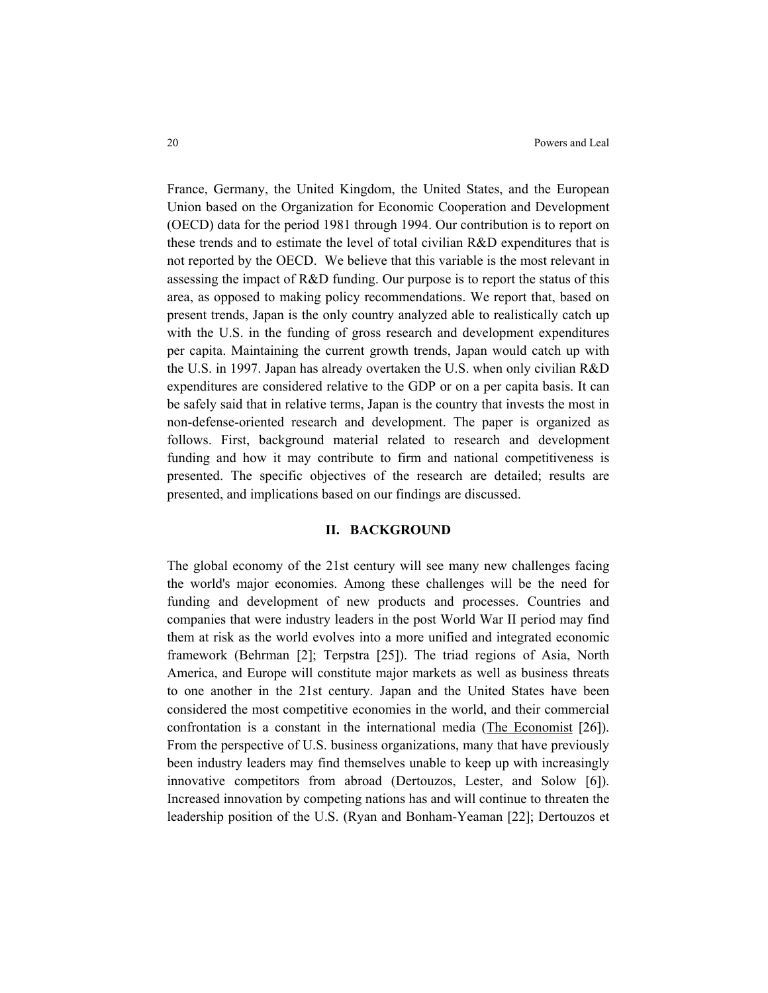France, Germany, the United Kingdom, the United States, and the European Union based on the Organization for Economic Cooperation and Development (OECD) data for the period 1981 through 1994. Our contribution is to report on these trends and to estimate the level of total civilian R&D expenditures that is not reported by the OECD. We believe that this variable is the most relevant in assessing the impact of R&D funding. Our purpose is to report the status of this area, as opposed to making policy recommendations. We report that, based on present trends, Japan is the only country analyzed able to realistically catch up with the U.S. in the funding of gross research and development expenditures per capita. Maintaining the current growth trends, Japan would catch up with the U.S. in 1997. Japan has already overtaken the U.S. when only civilian R&D expenditures are considered relative to the GDP or on a per capita basis. It can be safely said that in relative terms, Japan is the country that invests the most in non-defense-oriented research and development. The paper is organized as follows. First, background material related to research and development funding and how it may contribute to firm and national competitiveness is presented. The specific objectives of the research are detailed; results are presented, and implications based on our findings are discussed.

#### **II. BACKGROUND**

The global economy of the 21st century will see many new challenges facing the world's major economies. Among these challenges will be the need for funding and development of new products and processes. Countries and companies that were industry leaders in the post World War II period may find them at risk as the world evolves into a more unified and integrated economic framework (Behrman [2]; Terpstra [25]). The triad regions of Asia, North America, and Europe will constitute major markets as well as business threats to one another in the 21st century. Japan and the United States have been considered the most competitive economies in the world, and their commercial confrontation is a constant in the international media (The Economist [26]). From the perspective of U.S. business organizations, many that have previously been industry leaders may find themselves unable to keep up with increasingly innovative competitors from abroad (Dertouzos, Lester, and Solow [6]). Increased innovation by competing nations has and will continue to threaten the leadership position of the U.S. (Ryan and Bonham-Yeaman [22]; Dertouzos et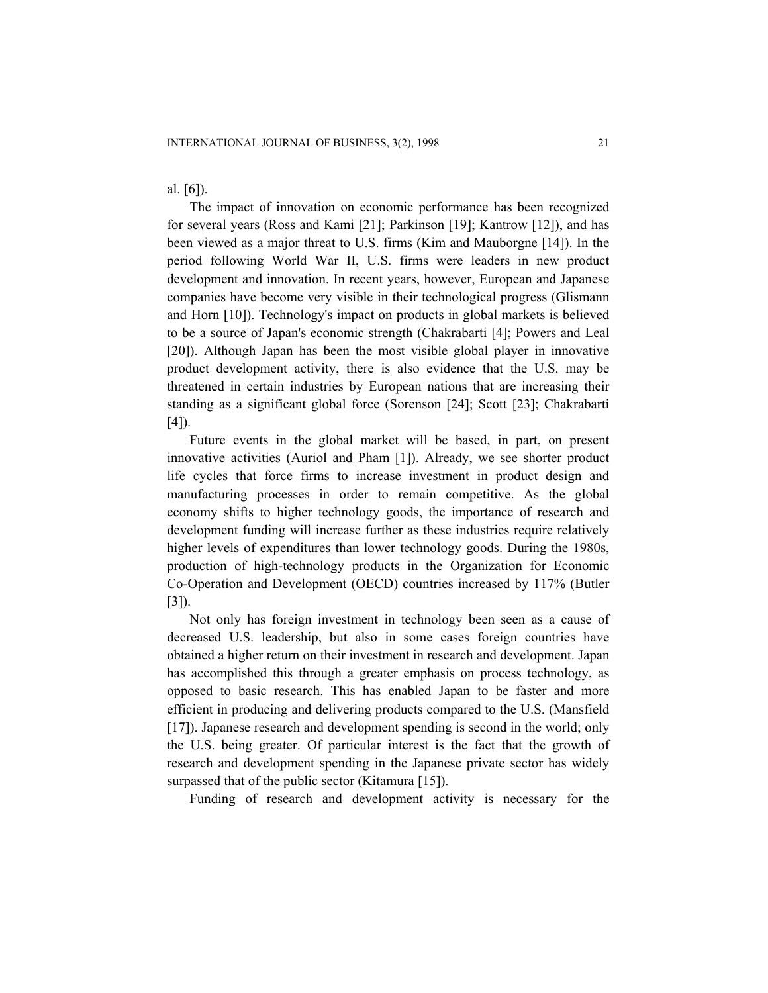al. [6]).

The impact of innovation on economic performance has been recognized for several years (Ross and Kami [21]; Parkinson [19]; Kantrow [12]), and has been viewed as a major threat to U.S. firms (Kim and Mauborgne [14]). In the period following World War II, U.S. firms were leaders in new product development and innovation. In recent years, however, European and Japanese companies have become very visible in their technological progress (Glismann and Horn [10]). Technology's impact on products in global markets is believed to be a source of Japan's economic strength (Chakrabarti [4]; Powers and Leal [20]). Although Japan has been the most visible global player in innovative product development activity, there is also evidence that the U.S. may be threatened in certain industries by European nations that are increasing their standing as a significant global force (Sorenson [24]; Scott [23]; Chakrabarti [4]).

Future events in the global market will be based, in part, on present innovative activities (Auriol and Pham [1]). Already, we see shorter product life cycles that force firms to increase investment in product design and manufacturing processes in order to remain competitive. As the global economy shifts to higher technology goods, the importance of research and development funding will increase further as these industries require relatively higher levels of expenditures than lower technology goods. During the 1980s, production of high-technology products in the Organization for Economic Co-Operation and Development (OECD) countries increased by 117% (Butler [3]).

Not only has foreign investment in technology been seen as a cause of decreased U.S. leadership, but also in some cases foreign countries have obtained a higher return on their investment in research and development. Japan has accomplished this through a greater emphasis on process technology, as opposed to basic research. This has enabled Japan to be faster and more efficient in producing and delivering products compared to the U.S. (Mansfield [17]). Japanese research and development spending is second in the world; only the U.S. being greater. Of particular interest is the fact that the growth of research and development spending in the Japanese private sector has widely surpassed that of the public sector (Kitamura [15]).

Funding of research and development activity is necessary for the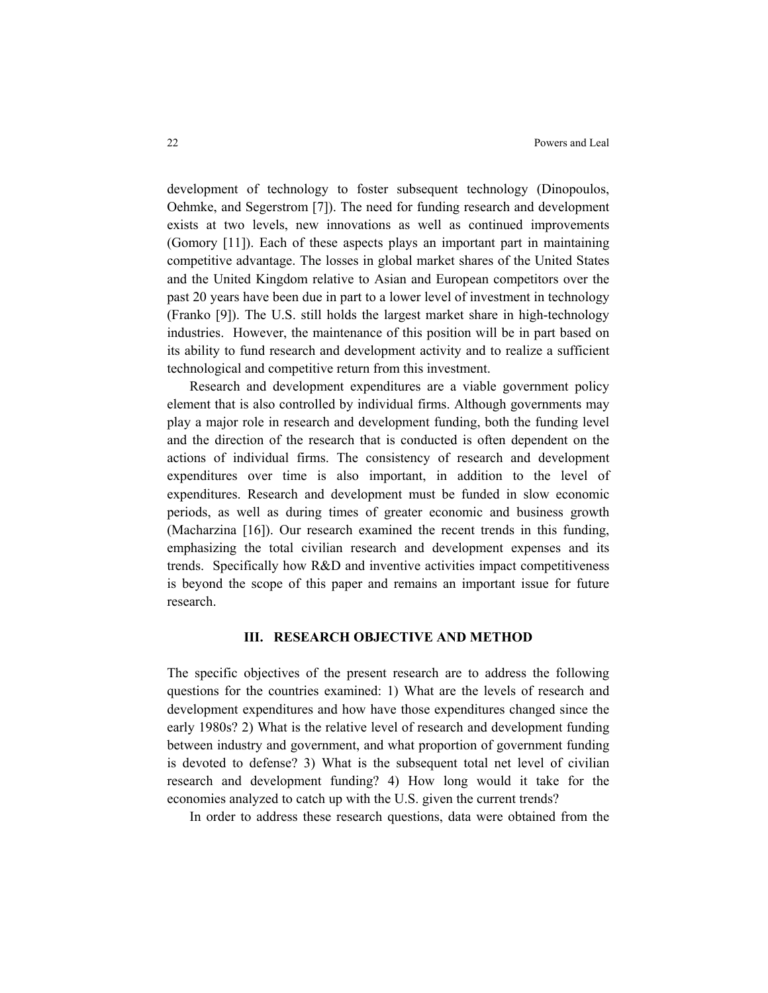development of technology to foster subsequent technology (Dinopoulos, Oehmke, and Segerstrom [7]). The need for funding research and development exists at two levels, new innovations as well as continued improvements (Gomory [11]). Each of these aspects plays an important part in maintaining competitive advantage. The losses in global market shares of the United States and the United Kingdom relative to Asian and European competitors over the past 20 years have been due in part to a lower level of investment in technology (Franko [9]). The U.S. still holds the largest market share in high-technology industries. However, the maintenance of this position will be in part based on its ability to fund research and development activity and to realize a sufficient technological and competitive return from this investment.

 Research and development expenditures are a viable government policy element that is also controlled by individual firms. Although governments may play a major role in research and development funding, both the funding level and the direction of the research that is conducted is often dependent on the actions of individual firms. The consistency of research and development expenditures over time is also important, in addition to the level of expenditures. Research and development must be funded in slow economic periods, as well as during times of greater economic and business growth (Macharzina [16]). Our research examined the recent trends in this funding, emphasizing the total civilian research and development expenses and its trends. Specifically how R&D and inventive activities impact competitiveness is beyond the scope of this paper and remains an important issue for future research.

#### **III. RESEARCH OBJECTIVE AND METHOD**

The specific objectives of the present research are to address the following questions for the countries examined: 1) What are the levels of research and development expenditures and how have those expenditures changed since the early 1980s? 2) What is the relative level of research and development funding between industry and government, and what proportion of government funding is devoted to defense? 3) What is the subsequent total net level of civilian research and development funding? 4) How long would it take for the economies analyzed to catch up with the U.S. given the current trends?

In order to address these research questions, data were obtained from the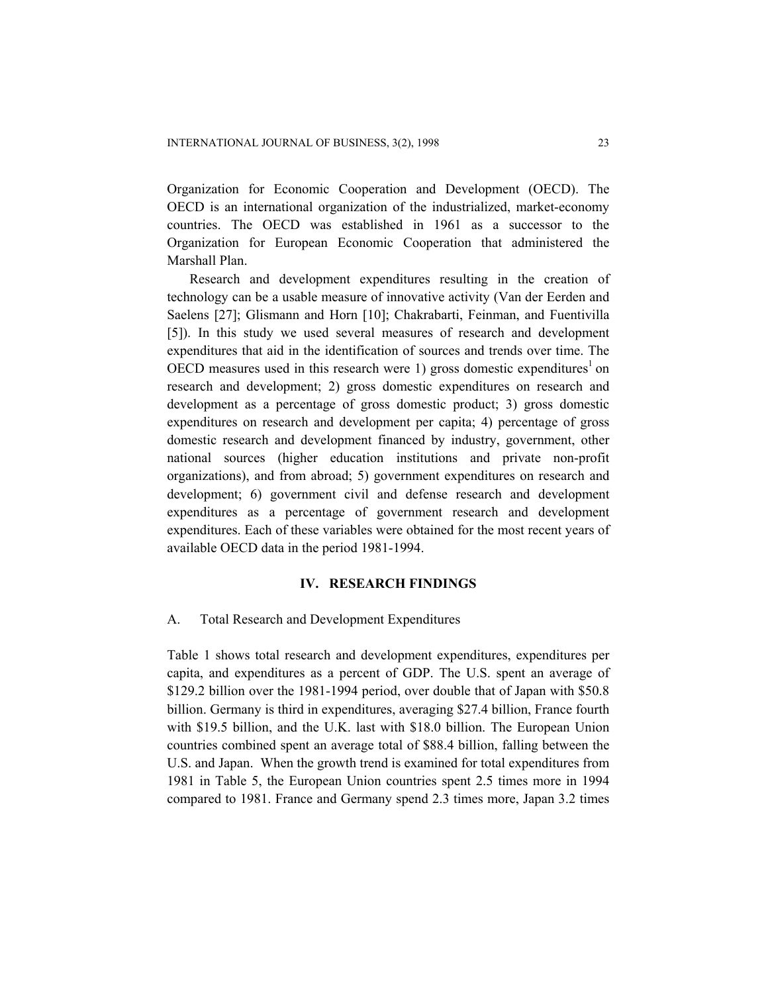Organization for Economic Cooperation and Development (OECD). The OECD is an international organization of the industrialized, market-economy countries. The OECD was established in 1961 as a successor to the Organization for European Economic Cooperation that administered the Marshall Plan.

Research and development expenditures resulting in the creation of technology can be a usable measure of innovative activity (Van der Eerden and Saelens [27]; Glismann and Horn [10]; Chakrabarti, Feinman, and Fuentivilla [5]). In this study we used several measures of research and development expenditures that aid in the identification of sources and trends over time. The OECD measures used in this research were 1) gross domestic expenditures<sup>1</sup> on research and development; 2) gross domestic expenditures on research and development as a percentage of gross domestic product; 3) gross domestic expenditures on research and development per capita; 4) percentage of gross domestic research and development financed by industry, government, other national sources (higher education institutions and private non-profit organizations), and from abroad; 5) government expenditures on research and development; 6) government civil and defense research and development expenditures as a percentage of government research and development expenditures. Each of these variables were obtained for the most recent years of available OECD data in the period 1981-1994.

#### **IV. RESEARCH FINDINGS**

#### A. Total Research and Development Expenditures

Table 1 shows total research and development expenditures, expenditures per capita, and expenditures as a percent of GDP. The U.S. spent an average of \$129.2 billion over the 1981-1994 period, over double that of Japan with \$50.8 billion. Germany is third in expenditures, averaging \$27.4 billion, France fourth with \$19.5 billion, and the U.K. last with \$18.0 billion. The European Union countries combined spent an average total of \$88.4 billion, falling between the U.S. and Japan. When the growth trend is examined for total expenditures from 1981 in Table 5, the European Union countries spent 2.5 times more in 1994 compared to 1981. France and Germany spend 2.3 times more, Japan 3.2 times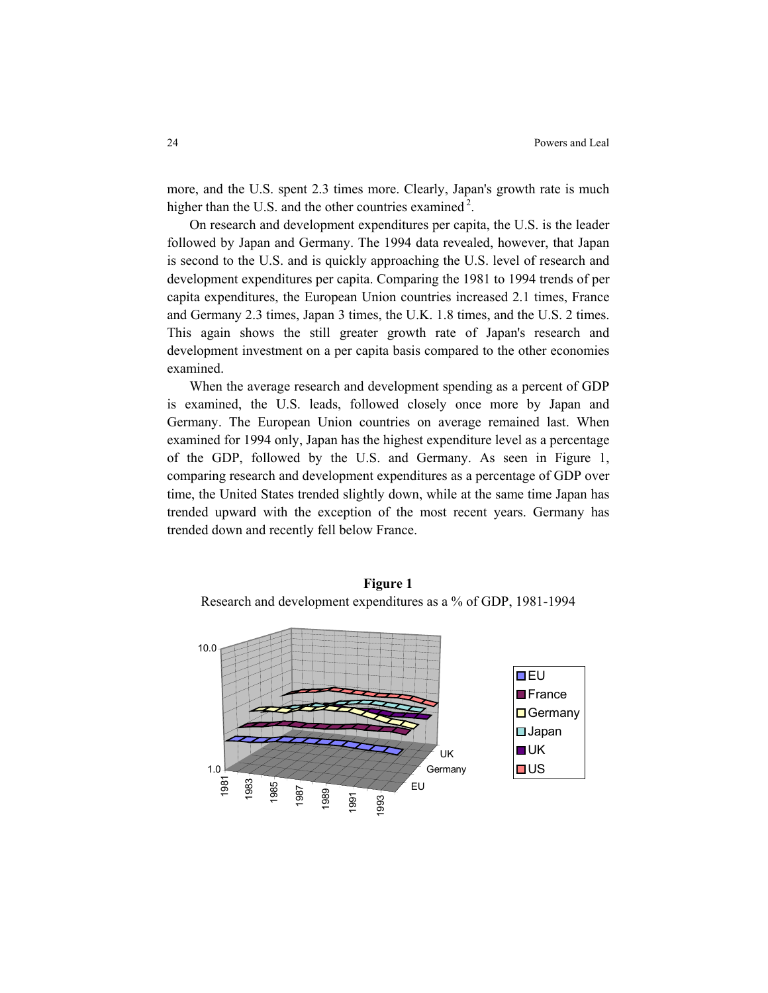more, and the U.S. spent 2.3 times more. Clearly, Japan's growth rate is much higher than the U.S. and the other countries examined  $2$ .

On research and development expenditures per capita, the U.S. is the leader followed by Japan and Germany. The 1994 data revealed, however, that Japan is second to the U.S. and is quickly approaching the U.S. level of research and development expenditures per capita. Comparing the 1981 to 1994 trends of per capita expenditures, the European Union countries increased 2.1 times, France and Germany 2.3 times, Japan 3 times, the U.K. 1.8 times, and the U.S. 2 times. This again shows the still greater growth rate of Japan's research and development investment on a per capita basis compared to the other economies examined.

When the average research and development spending as a percent of GDP is examined, the U.S. leads, followed closely once more by Japan and Germany. The European Union countries on average remained last. When examined for 1994 only, Japan has the highest expenditure level as a percentage of the GDP, followed by the U.S. and Germany. As seen in Figure 1, comparing research and development expenditures as a percentage of GDP over time, the United States trended slightly down, while at the same time Japan has trended upward with the exception of the most recent years. Germany has trended down and recently fell below France.



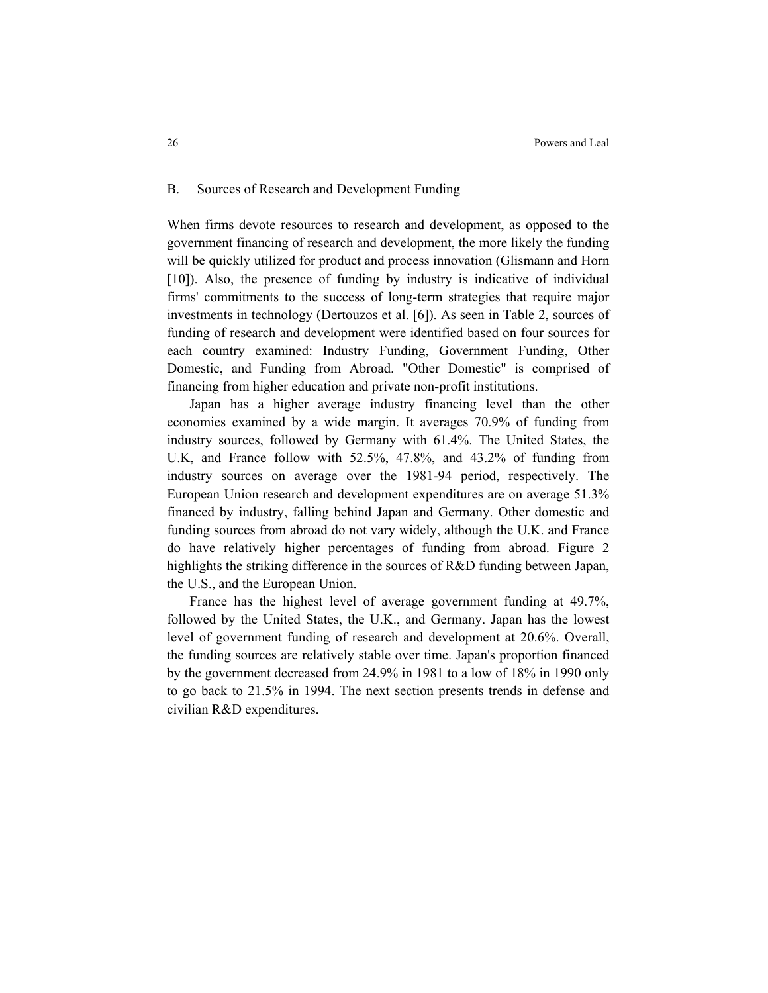#### B. Sources of Research and Development Funding

When firms devote resources to research and development, as opposed to the government financing of research and development, the more likely the funding will be quickly utilized for product and process innovation (Glismann and Horn [10]). Also, the presence of funding by industry is indicative of individual firms' commitments to the success of long-term strategies that require major investments in technology (Dertouzos et al. [6]). As seen in Table 2, sources of funding of research and development were identified based on four sources for each country examined: Industry Funding, Government Funding, Other Domestic, and Funding from Abroad. "Other Domestic" is comprised of financing from higher education and private non-profit institutions.

 Japan has a higher average industry financing level than the other economies examined by a wide margin. It averages 70.9% of funding from industry sources, followed by Germany with 61.4%. The United States, the U.K, and France follow with 52.5%, 47.8%, and 43.2% of funding from industry sources on average over the 1981-94 period, respectively. The European Union research and development expenditures are on average 51.3% financed by industry, falling behind Japan and Germany. Other domestic and funding sources from abroad do not vary widely, although the U.K. and France do have relatively higher percentages of funding from abroad. Figure 2 highlights the striking difference in the sources of R&D funding between Japan, the U.S., and the European Union.

 France has the highest level of average government funding at 49.7%, followed by the United States, the U.K., and Germany. Japan has the lowest level of government funding of research and development at 20.6%. Overall, the funding sources are relatively stable over time. Japan's proportion financed by the government decreased from 24.9% in 1981 to a low of 18% in 1990 only to go back to 21.5% in 1994. The next section presents trends in defense and civilian R&D expenditures.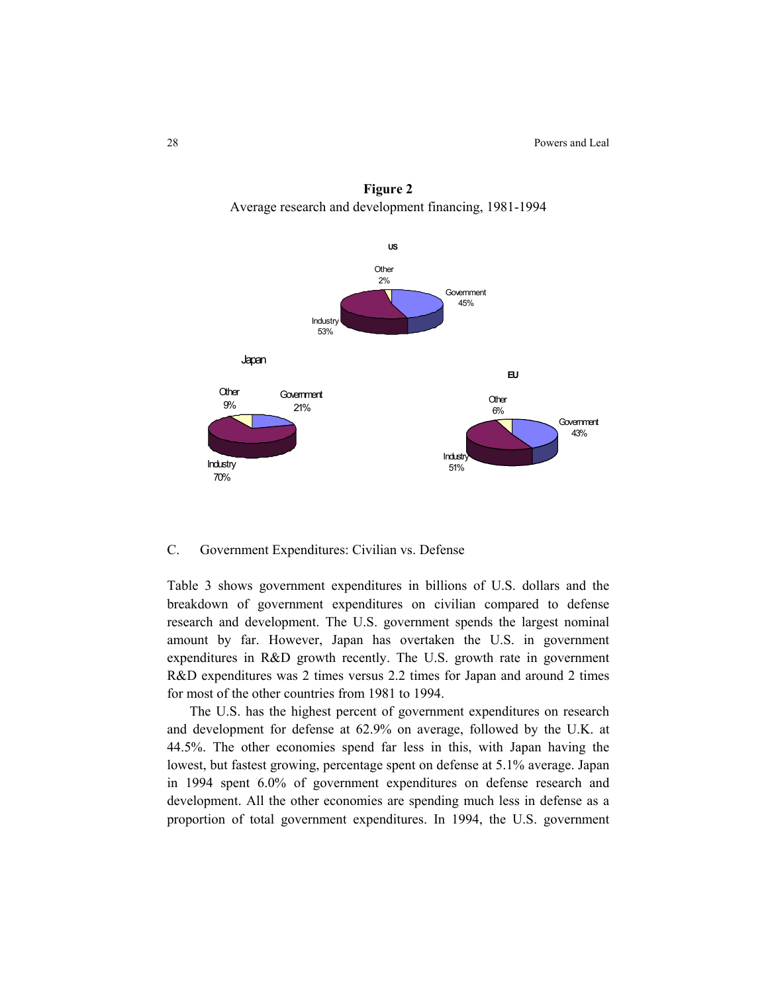

**Figure 2**  Average research and development financing, 1981-1994

#### C. Government Expenditures: Civilian vs. Defense

Table 3 shows government expenditures in billions of U.S. dollars and the breakdown of government expenditures on civilian compared to defense research and development. The U.S. government spends the largest nominal amount by far. However, Japan has overtaken the U.S. in government expenditures in R&D growth recently. The U.S. growth rate in government R&D expenditures was 2 times versus 2.2 times for Japan and around 2 times for most of the other countries from 1981 to 1994.

The U.S. has the highest percent of government expenditures on research and development for defense at 62.9% on average, followed by the U.K. at 44.5%. The other economies spend far less in this, with Japan having the lowest, but fastest growing, percentage spent on defense at 5.1% average. Japan in 1994 spent 6.0% of government expenditures on defense research and development. All the other economies are spending much less in defense as a proportion of total government expenditures. In 1994, the U.S. government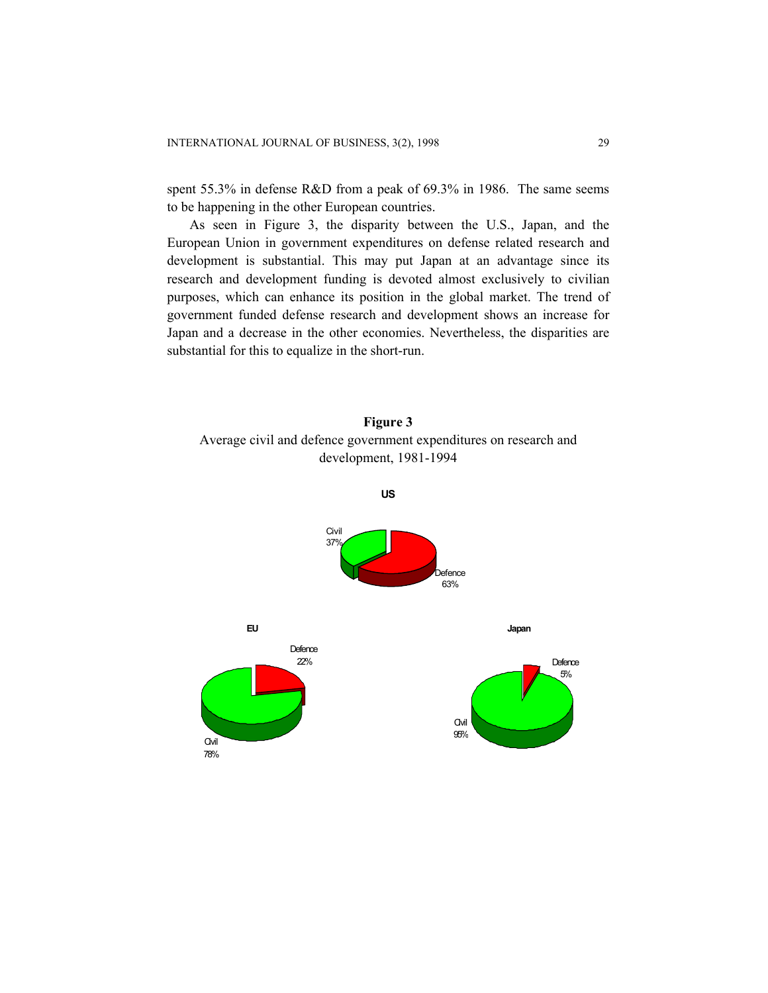spent 55.3% in defense R&D from a peak of 69.3% in 1986. The same seems to be happening in the other European countries.

As seen in Figure 3, the disparity between the U.S., Japan, and the European Union in government expenditures on defense related research and development is substantial. This may put Japan at an advantage since its research and development funding is devoted almost exclusively to civilian purposes, which can enhance its position in the global market. The trend of government funded defense research and development shows an increase for Japan and a decrease in the other economies. Nevertheless, the disparities are substantial for this to equalize in the short-run.



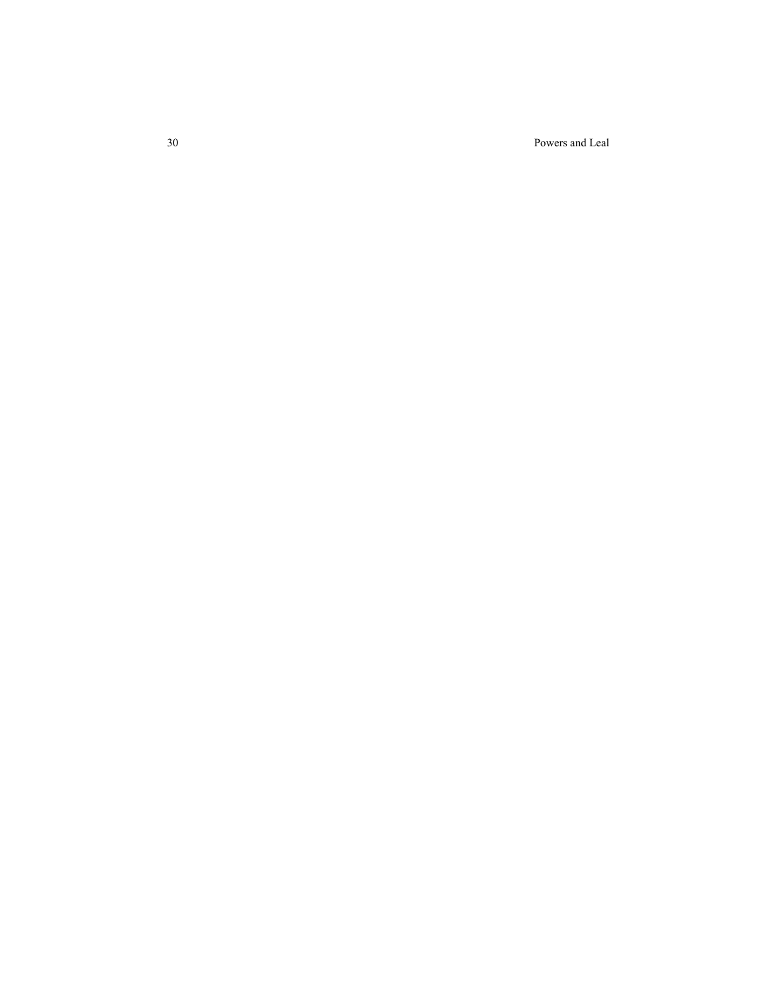30 Powers and Leal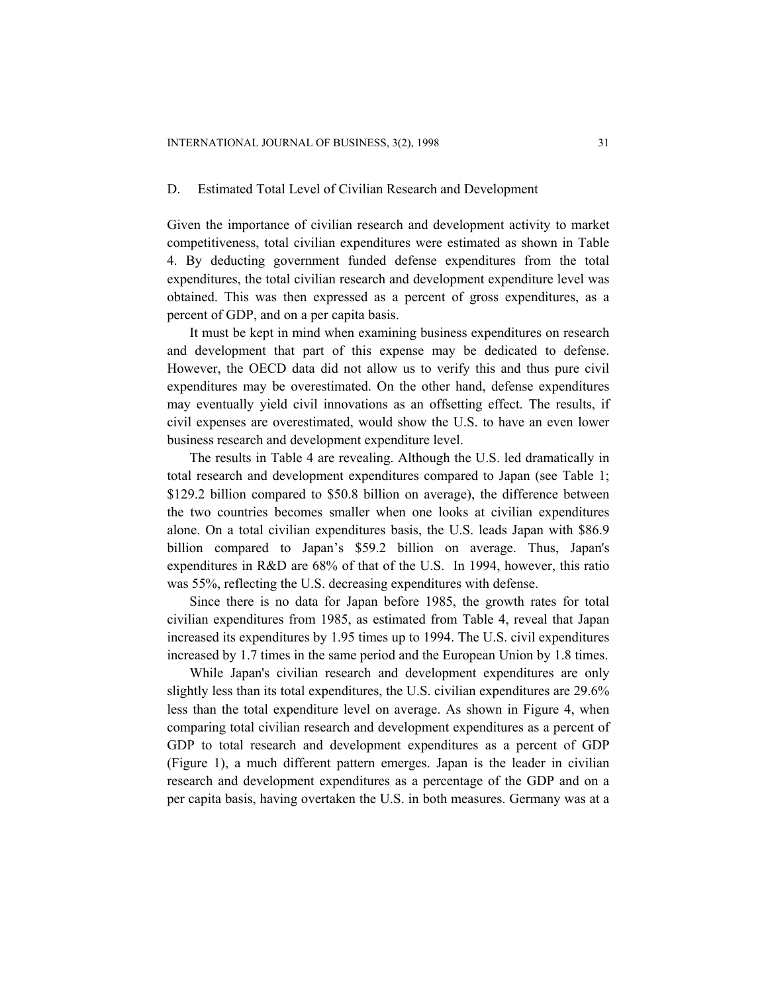#### D. Estimated Total Level of Civilian Research and Development

Given the importance of civilian research and development activity to market competitiveness, total civilian expenditures were estimated as shown in Table 4. By deducting government funded defense expenditures from the total expenditures, the total civilian research and development expenditure level was obtained. This was then expressed as a percent of gross expenditures, as a percent of GDP, and on a per capita basis.

It must be kept in mind when examining business expenditures on research and development that part of this expense may be dedicated to defense. However, the OECD data did not allow us to verify this and thus pure civil expenditures may be overestimated. On the other hand, defense expenditures may eventually yield civil innovations as an offsetting effect. The results, if civil expenses are overestimated, would show the U.S. to have an even lower business research and development expenditure level.

The results in Table 4 are revealing. Although the U.S. led dramatically in total research and development expenditures compared to Japan (see Table 1; \$129.2 billion compared to \$50.8 billion on average), the difference between the two countries becomes smaller when one looks at civilian expenditures alone. On a total civilian expenditures basis, the U.S. leads Japan with \$86.9 billion compared to Japan's \$59.2 billion on average. Thus, Japan's expenditures in R&D are 68% of that of the U.S. In 1994, however, this ratio was 55%, reflecting the U.S. decreasing expenditures with defense.

Since there is no data for Japan before 1985, the growth rates for total civilian expenditures from 1985, as estimated from Table 4, reveal that Japan increased its expenditures by 1.95 times up to 1994. The U.S. civil expenditures increased by 1.7 times in the same period and the European Union by 1.8 times.

While Japan's civilian research and development expenditures are only slightly less than its total expenditures, the U.S. civilian expenditures are 29.6% less than the total expenditure level on average. As shown in Figure 4, when comparing total civilian research and development expenditures as a percent of GDP to total research and development expenditures as a percent of GDP (Figure 1), a much different pattern emerges. Japan is the leader in civilian research and development expenditures as a percentage of the GDP and on a per capita basis, having overtaken the U.S. in both measures. Germany was at a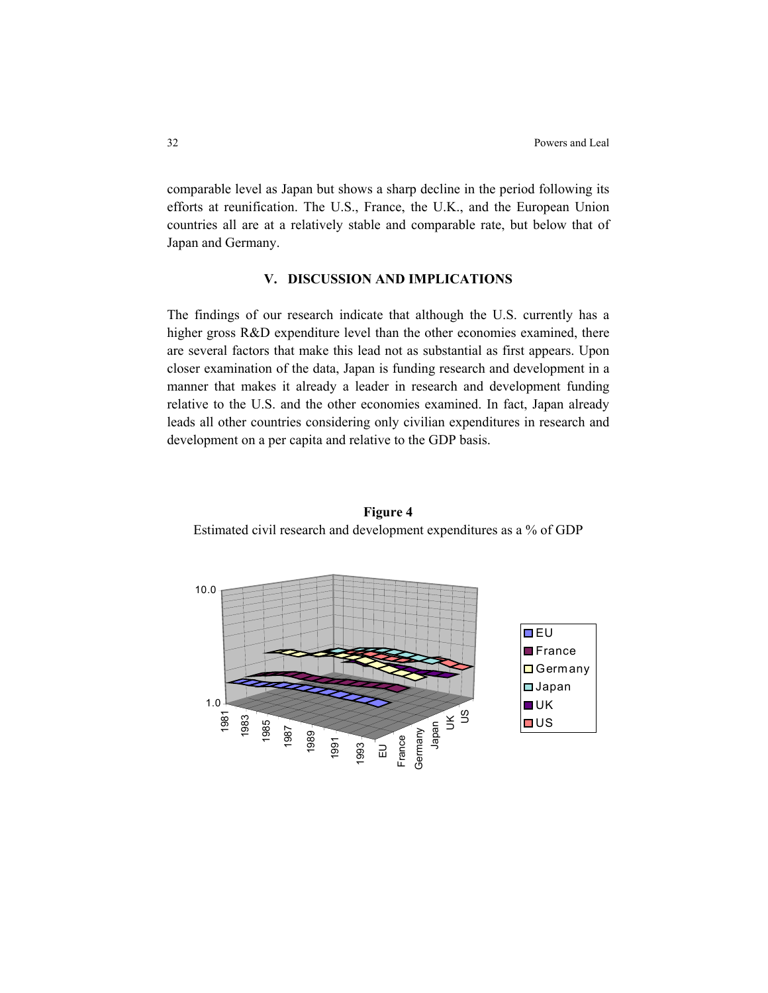comparable level as Japan but shows a sharp decline in the period following its efforts at reunification. The U.S., France, the U.K., and the European Union countries all are at a relatively stable and comparable rate, but below that of Japan and Germany.

## **V. DISCUSSION AND IMPLICATIONS**

The findings of our research indicate that although the U.S. currently has a higher gross R&D expenditure level than the other economies examined, there are several factors that make this lead not as substantial as first appears. Upon closer examination of the data, Japan is funding research and development in a manner that makes it already a leader in research and development funding relative to the U.S. and the other economies examined. In fact, Japan already leads all other countries considering only civilian expenditures in research and development on a per capita and relative to the GDP basis.



**Figure 4**  Estimated civil research and development expenditures as a % of GDP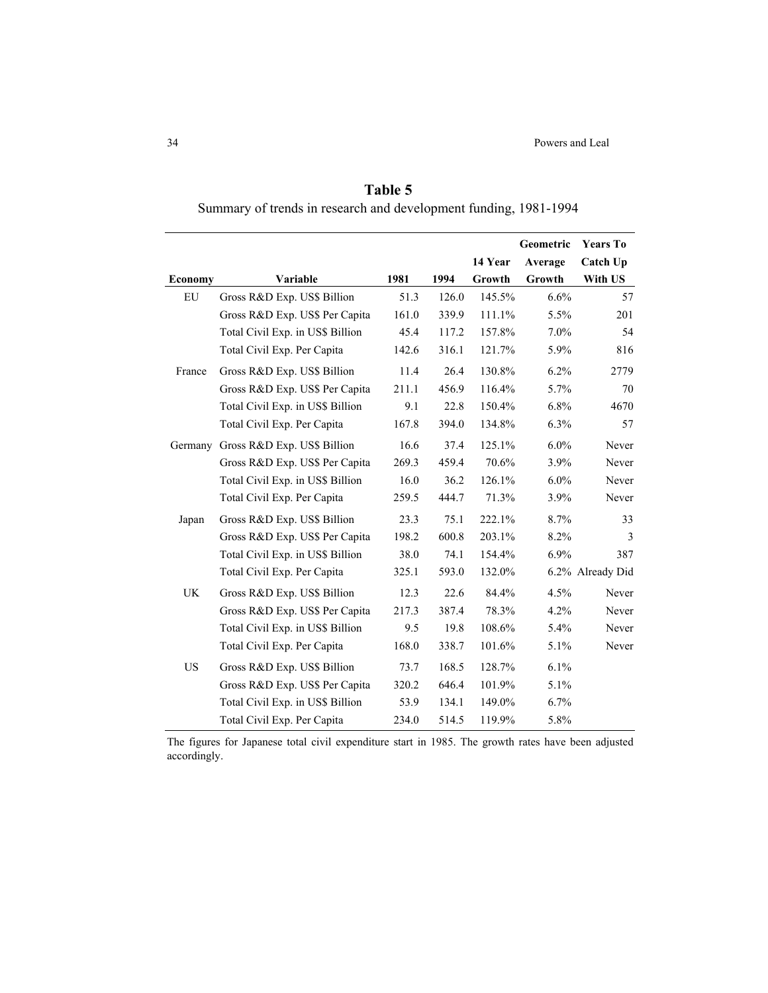|                |                                  |       |       |         | Geometric | <b>Years To</b>  |
|----------------|----------------------------------|-------|-------|---------|-----------|------------------|
|                |                                  |       |       | 14 Year | Average   | Catch Up         |
| <b>Economy</b> | Variable                         | 1981  | 1994  | Growth  | Growth    | With US          |
| EU             | Gross R&D Exp. US\$ Billion      | 51.3  | 126.0 | 145.5%  | 6.6%      | 57               |
|                | Gross R&D Exp. US\$ Per Capita   | 161.0 | 339.9 | 111.1%  | 5.5%      | 201              |
|                | Total Civil Exp. in US\$ Billion | 45.4  | 117.2 | 157.8%  | 7.0%      | 54               |
|                | Total Civil Exp. Per Capita      | 142.6 | 316.1 | 121.7%  | 5.9%      | 816              |
| France         | Gross R&D Exp. US\$ Billion      | 11.4  | 26.4  | 130.8%  | 6.2%      | 2779             |
|                | Gross R&D Exp. US\$ Per Capita   | 211.1 | 456.9 | 116.4%  | 5.7%      | 70               |
|                | Total Civil Exp. in US\$ Billion | 9.1   | 22.8  | 150.4%  | 6.8%      | 4670             |
|                | Total Civil Exp. Per Capita      | 167.8 | 394.0 | 134.8%  | 6.3%      | 57               |
| Germany        | Gross R&D Exp. US\$ Billion      | 16.6  | 37.4  | 125.1%  | 6.0%      | Never            |
|                | Gross R&D Exp. US\$ Per Capita   | 269.3 | 459.4 | 70.6%   | 3.9%      | Never            |
|                | Total Civil Exp. in US\$ Billion | 16.0  | 36.2  | 126.1%  | $6.0\%$   | Never            |
|                | Total Civil Exp. Per Capita      | 259.5 | 444.7 | 71.3%   | 3.9%      | Never            |
| Japan          | Gross R&D Exp. US\$ Billion      | 23.3  | 75.1  | 222.1%  | 8.7%      | 33               |
|                | Gross R&D Exp. US\$ Per Capita   | 198.2 | 600.8 | 203.1%  | 8.2%      | 3                |
|                | Total Civil Exp. in US\$ Billion | 38.0  | 74.1  | 154.4%  | $6.9\%$   | 387              |
|                | Total Civil Exp. Per Capita      | 325.1 | 593.0 | 132.0%  |           | 6.2% Already Did |
| UK             | Gross R&D Exp. US\$ Billion      | 12.3  | 22.6  | 84.4%   | 4.5%      | Never            |
|                | Gross R&D Exp. US\$ Per Capita   | 217.3 | 387.4 | 78.3%   | 4.2%      | Never            |
|                | Total Civil Exp. in US\$ Billion | 9.5   | 19.8  | 108.6%  | 5.4%      | Never            |
|                | Total Civil Exp. Per Capita      | 168.0 | 338.7 | 101.6%  | 5.1%      | Never            |
| US             | Gross R&D Exp. US\$ Billion      | 73.7  | 168.5 | 128.7%  | 6.1%      |                  |
|                | Gross R&D Exp. US\$ Per Capita   | 320.2 | 646.4 | 101.9%  | 5.1%      |                  |
|                | Total Civil Exp. in US\$ Billion | 53.9  | 134.1 | 149.0%  | 6.7%      |                  |
|                | Total Civil Exp. Per Capita      | 234.0 | 514.5 | 119.9%  | 5.8%      |                  |

**Table 5**  Summary of trends in research and development funding, 1981-1994

The figures for Japanese total civil expenditure start in 1985. The growth rates have been adjusted accordingly.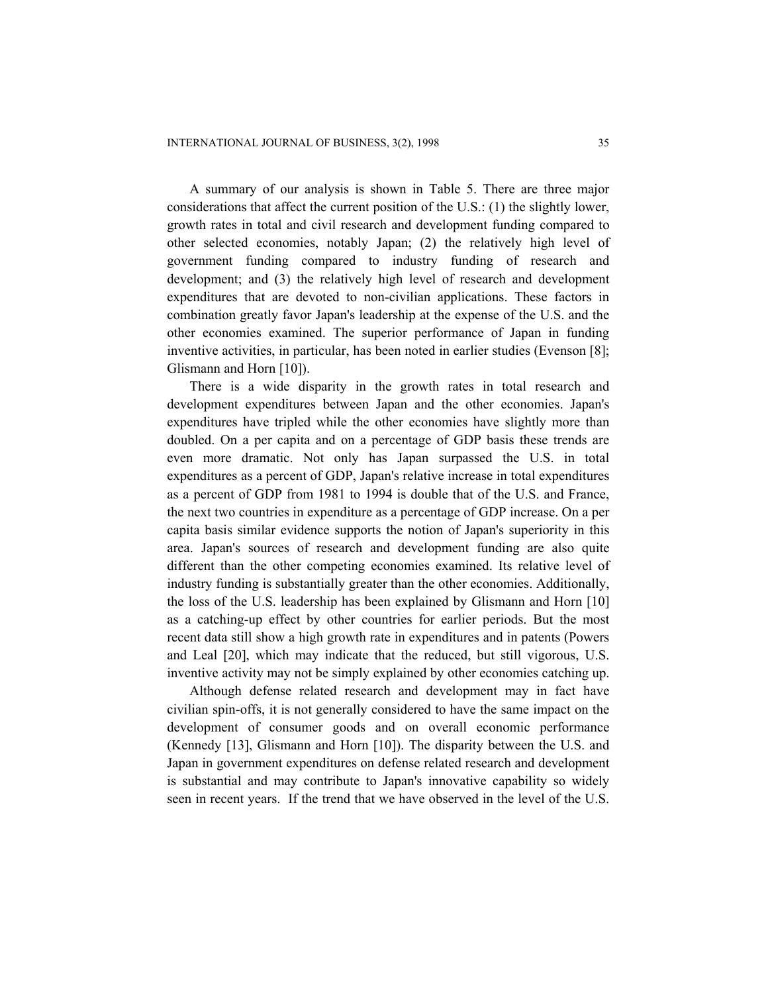A summary of our analysis is shown in Table 5. There are three major considerations that affect the current position of the U.S.: (1) the slightly lower, growth rates in total and civil research and development funding compared to other selected economies, notably Japan; (2) the relatively high level of government funding compared to industry funding of research and development; and (3) the relatively high level of research and development expenditures that are devoted to non-civilian applications. These factors in combination greatly favor Japan's leadership at the expense of the U.S. and the other economies examined. The superior performance of Japan in funding inventive activities, in particular, has been noted in earlier studies (Evenson [8]; Glismann and Horn [10]).

There is a wide disparity in the growth rates in total research and development expenditures between Japan and the other economies. Japan's expenditures have tripled while the other economies have slightly more than doubled. On a per capita and on a percentage of GDP basis these trends are even more dramatic. Not only has Japan surpassed the U.S. in total expenditures as a percent of GDP, Japan's relative increase in total expenditures as a percent of GDP from 1981 to 1994 is double that of the U.S. and France, the next two countries in expenditure as a percentage of GDP increase. On a per capita basis similar evidence supports the notion of Japan's superiority in this area. Japan's sources of research and development funding are also quite different than the other competing economies examined. Its relative level of industry funding is substantially greater than the other economies. Additionally, the loss of the U.S. leadership has been explained by Glismann and Horn [10] as a catching-up effect by other countries for earlier periods. But the most recent data still show a high growth rate in expenditures and in patents (Powers and Leal [20], which may indicate that the reduced, but still vigorous, U.S. inventive activity may not be simply explained by other economies catching up.

Although defense related research and development may in fact have civilian spin-offs, it is not generally considered to have the same impact on the development of consumer goods and on overall economic performance (Kennedy [13], Glismann and Horn [10]). The disparity between the U.S. and Japan in government expenditures on defense related research and development is substantial and may contribute to Japan's innovative capability so widely seen in recent years. If the trend that we have observed in the level of the U.S.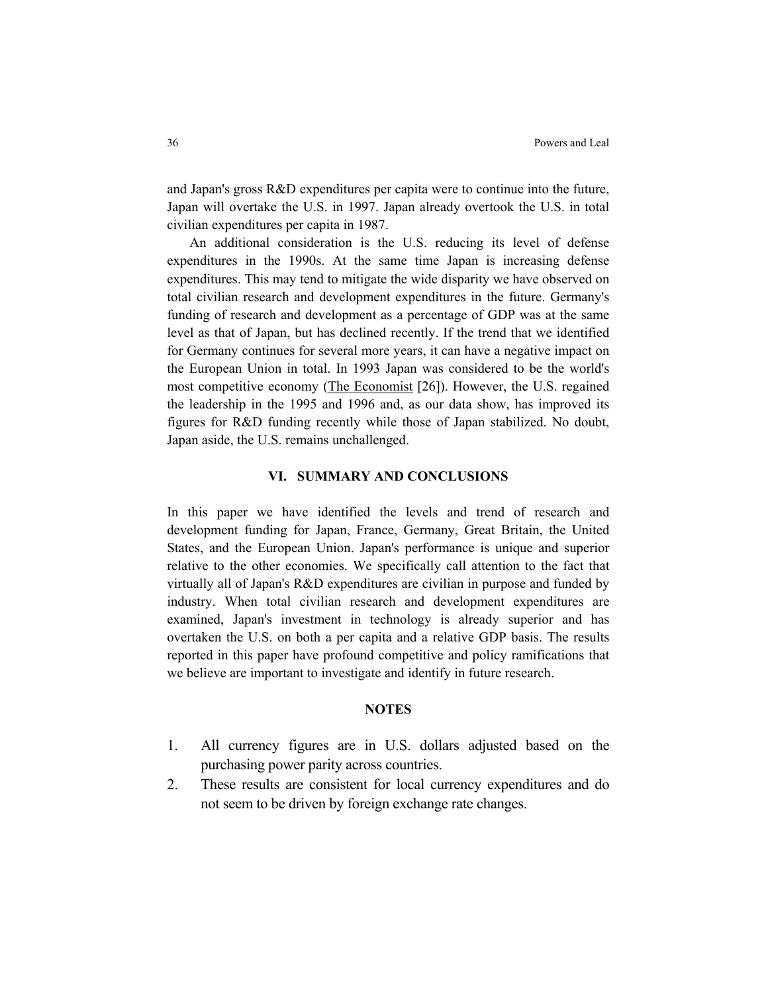and Japan's gross R&D expenditures per capita were to continue into the future, Japan will overtake the U.S. in 1997. Japan already overtook the U.S. in total civilian expenditures per capita in 1987.

 An additional consideration is the U.S. reducing its level of defense expenditures in the 1990s. At the same time Japan is increasing defense expenditures. This may tend to mitigate the wide disparity we have observed on total civilian research and development expenditures in the future. Germany's funding of research and development as a percentage of GDP was at the same level as that of Japan, but has declined recently. If the trend that we identified for Germany continues for several more years, it can have a negative impact on the European Union in total. In 1993 Japan was considered to be the world's most competitive economy (The Economist [26]). However, the U.S. regained the leadership in the 1995 and 1996 and, as our data show, has improved its figures for R&D funding recently while those of Japan stabilized. No doubt, Japan aside, the U.S. remains unchallenged.

### **VI. SUMMARY AND CONCLUSIONS**

In this paper we have identified the levels and trend of research and development funding for Japan, France, Germany, Great Britain, the United States, and the European Union. Japan's performance is unique and superior relative to the other economies. We specifically call attention to the fact that virtually all of Japan's R&D expenditures are civilian in purpose and funded by industry. When total civilian research and development expenditures are examined, Japan's investment in technology is already superior and has overtaken the U.S. on both a per capita and a relative GDP basis. The results reported in this paper have profound competitive and policy ramifications that we believe are important to investigate and identify in future research.

#### **NOTES**

- 1. All currency figures are in U.S. dollars adjusted based on the purchasing power parity across countries.
- 2. These results are consistent for local currency expenditures and do not seem to be driven by foreign exchange rate changes.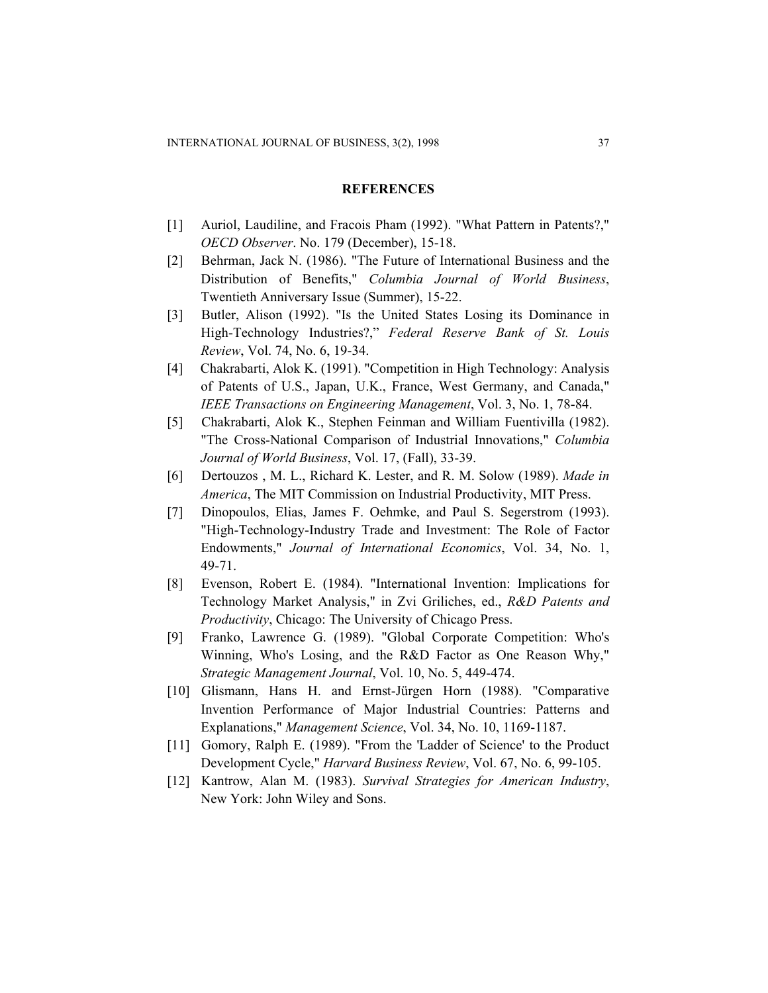#### **REFERENCES**

- [1] Auriol, Laudiline, and Fracois Pham (1992). "What Pattern in Patents?," *OECD Observer*. No. 179 (December), 15-18.
- [2] Behrman, Jack N. (1986). "The Future of International Business and the Distribution of Benefits," *Columbia Journal of World Business*, Twentieth Anniversary Issue (Summer), 15-22.
- [3] Butler, Alison (1992). "Is the United States Losing its Dominance in High-Technology Industries?," *Federal Reserve Bank of St. Louis Review*, Vol. 74, No. 6, 19-34.
- [4] Chakrabarti, Alok K. (1991). "Competition in High Technology: Analysis of Patents of U.S., Japan, U.K., France, West Germany, and Canada," *IEEE Transactions on Engineering Management*, Vol. 3, No. 1, 78-84.
- [5] Chakrabarti, Alok K., Stephen Feinman and William Fuentivilla (1982). "The Cross-National Comparison of Industrial Innovations," *Columbia Journal of World Business*, Vol. 17, (Fall), 33-39.
- [6] Dertouzos , M. L., Richard K. Lester, and R. M. Solow (1989). *Made in America*, The MIT Commission on Industrial Productivity, MIT Press.
- [7] Dinopoulos, Elias, James F. Oehmke, and Paul S. Segerstrom (1993). "High-Technology-Industry Trade and Investment: The Role of Factor Endowments," *Journal of International Economics*, Vol. 34, No. 1, 49-71.
- [8] Evenson, Robert E. (1984). "International Invention: Implications for Technology Market Analysis," in Zvi Griliches, ed., *R&D Patents and Productivity*, Chicago: The University of Chicago Press.
- [9] Franko, Lawrence G. (1989). "Global Corporate Competition: Who's Winning, Who's Losing, and the R&D Factor as One Reason Why," *Strategic Management Journal*, Vol. 10, No. 5, 449-474.
- [10] Glismann, Hans H. and Ernst-Jürgen Horn (1988). "Comparative Invention Performance of Major Industrial Countries: Patterns and Explanations," *Management Science*, Vol. 34, No. 10, 1169-1187.
- [11] Gomory, Ralph E. (1989). "From the 'Ladder of Science' to the Product Development Cycle," *Harvard Business Review*, Vol. 67, No. 6, 99-105.
- [12] Kantrow, Alan M. (1983). *Survival Strategies for American Industry*, New York: John Wiley and Sons.